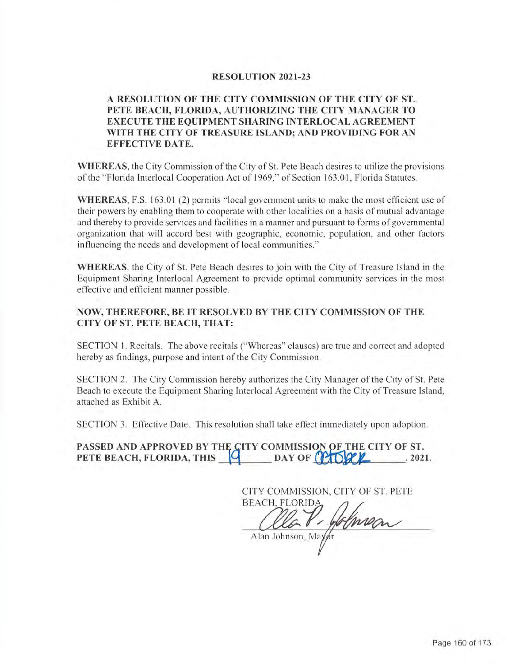#### **RESOLUTION 2021-23**

# **A RESOLUTION OF THE CITY COMMISSION OF THE CITY OF ST. PETE BEACH, FLORIDA, AUTHORIZING THE CITY MANAGER TO EXECUTE THE EQUIPMENT SHARING INTERLOCAL AGREEMENT**  WITH THE CITY OF TREASURE ISLAND: AND PROVIDING FOR AN **EFFECTIVE DA TE.**

**WHEREAS,** the City Commission of the City of St. Pete Beach desires to utilize the provisions of the "Florida Interlocal Cooperation Act of 1969," of Section 163.01, Florida Statutes.

**WHEREAS,** F.S. 163 .01 (2) permits " local government units to make the most efficient use of their powers by enabling them to cooperate with other localities on a basis of mutual advantage and thereby to provide services and facilities in a manner and pursuant to forms of governmental organization that will accord best with geographic, economic, population, and other factors influencing the needs and development of local communities."

**WHEREAS,** the City of St. Pete Beach desires to join with the City of Treasure Island in the Equipment Sharing lnterlocal Agreement to provide optimal community services in the most effective and efficient manner possible.

### **NOW, THEREFORE, BE IT RESOLVED BY THE CITY COMMISSION OF THE CITY OF ST. PETE BEACH, THAT:**

SECTION **1.** Recitals. The above recitals ("Whereas" clauses) are true and correct and adopted hereby as findings, purpose and intent of the City Commission.

SECTION 2. The City Commission hereby authorizes the City Manager of the City of St. Pete Beach to execute the Equipment Sharing Interlocal Agreement with the City of Treasure Island, attached as Exhibit A.

SECTION 3. Effective Date. This resolution shall take effect immediately upon adoption.

**PASSED AND APPROVED BY THE CITY COMMISSION OF THE CITY OF ST. PETE BEACH, FLORIDA, THIS**  <u>**Q DAY** OF **Q <b>D** *Q* **D** *Q <i>Q Q <i>Q Q Q <i>Q <i>Q Q Q <i>Q Q <i>Q 021.*</u>

CITY COMMISSION, CITY OF ST. PETE **BEACH, FLORIDA** P. Johnson Alan Johnson, Mayor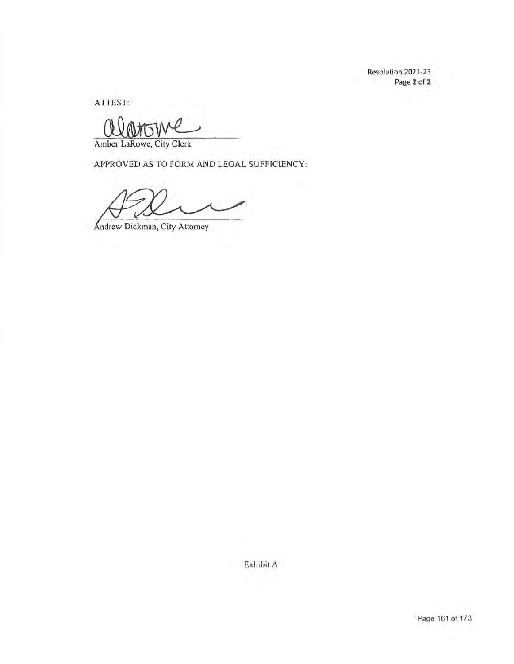Resolution 2021-23 Page 2 of 2

ATTEST:

ATTEST:<br>
<u>OOMTWE</u>

APPROVED AS TO FORM AND LEGAL SUFFICIENCY:

Andrew Dickman, City Attorney

Exhibit A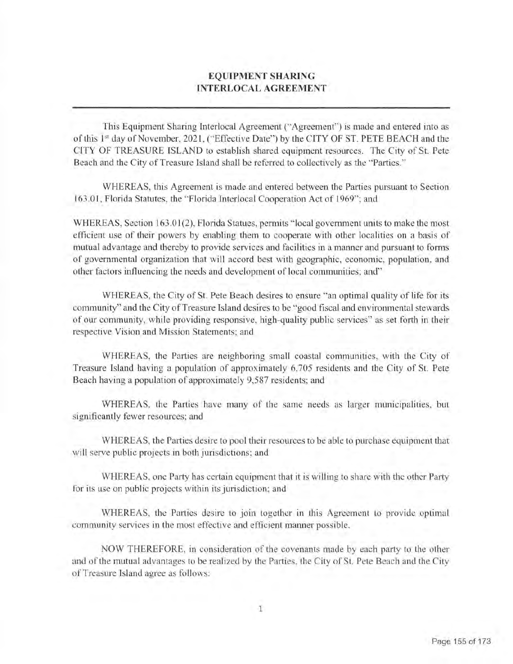# **EQUIPMENT SHARING INTERLOCAL AGREEMENT**

This Equipment Sharing lnterlocal Agreement ("Agreement") is made and entered into as of this 1<sup>st</sup> day of November, 2021, ("Effective Date") by the CITY OF ST. PETE BEACH and the CITY OF TREASURE ISLAND to establish shared equipment resources. The City of St. Pete Beach and the City of Treasure Island shall be referred to collectively as the "Parties."

WHEREAS, this Agreement is made and entered between the Parties pursuant to Section 163.01, Florida Statutes, the "Florida Interlocal Cooperation Act of 1969"; and

WHEREAS, Section 163.01(2), Florida Statues, permits "local government units to make the most efficient use of their powers by enabling them to cooperate with other localities on a basis of mutual advantage and thereby to provide services and facilities in a manner and pursuant to forms of governmental organization that will accord best with geographic, economic, population, and other factors influencing the needs and development of local communities; and"

WHEREAS, the City of St. Pete Beach desires to ensure "an optimal quality of life for its community" and the City of Treasure Island desires to be "good fiscal and environmental stewards of our community, while providing responsive, high-quality public services" as set forth in their respective Vision and Mission Statements; and

WHEREAS, the Parties are neighboring small coastal communities, with the City of Treasure Island having a population of approximately 6,705 residents and the City of St. Pete Beach having a population of approximately 9,587 residents; and

WHEREAS, the Parties have many of the same needs as larger municipalities, but significantly fewer resources; and

WHEREAS, the Parties desire to pool their resources to be able to purchase equipment that will serve public projects in both jurisdictions; and

WHEREAS, one Party has certain equipment that it is willing to share with the other Party for its use on public projects within its jurisdiction; and

WHEREAS, the Parties desire to join together in this Agreement to provide optimal community services in the most effective and efficient manner possible.

NOW THEREFORE, in consideration of the covenants made by each party to the other and of the mutual advantages to be realized by the Parties, the City of St. Pete Beach and the City of Treasure Island agree as follows :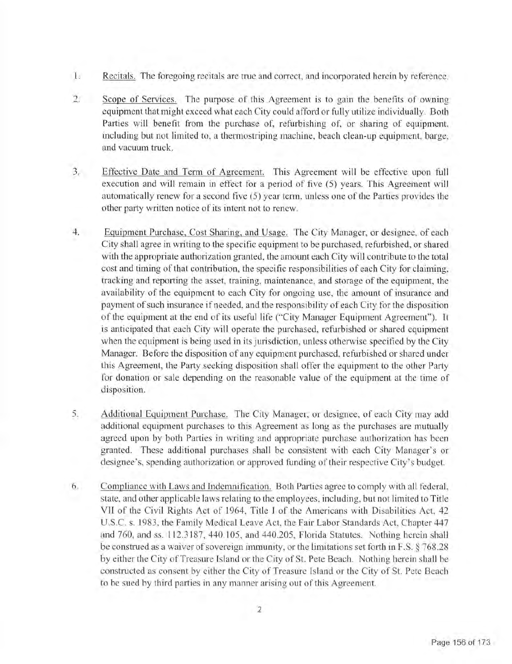- 1. Recitals. The foregoing recitals are true and correct, and incorporated herein by reference.
- 2. Scope of Services. The purpose of this Agreement is to gain the benefits of owning equipment that might exceed what each City could afford or fully utilize individually. Both Parties will benefit from the purchase of, refurbishing of, or sharing of equipment. including but not limited to, a therrnostriping machine, beach clean-up equipment, barge, and vacuum truck.
- 3. Effective Date and Term of Agreement. This Agreement will be effective upon full execution and will remain in effect for a period of five (5) years. This Agreement will automatically renew for a second five (5) year term, unless one of the Parties provides the other party written notice of its intent not to renew.
- 4. Equipment Purchase, Cost Sharing, and Usage. The City Manager, or designee, of each City shall agree in writing to the specific equipment to be purchased, refurbished, or shared with the appropriate authorization granted, the amount each City will contribute to the total cost and timing of that contribution, the specific responsibilities of each City for claiming, tracking and reporting the asset, training, maintenance, and storage of the equipment, the availability of the equipment to each City for ongoing use, the amount of insurance and payment of such insurance if needed, and the responsibility of each City for the disposition of the equipment at the end of its useful life ("City Manager Equipment Agreement"). It is anticipated that each City will operate the purchased, refurbished or shared equipment when the equipment is being used in its jurisdiction, unless otherwise specified by the City Manager. Before the disposition of any equipment purchased, refurbished or shared under this Agreement, the Party seeking disposition shall offer the equipment to the other Party for donation or sale depending on the reasonable value of the equipment at the time of disposition.
- 5. Additional Equipment Purchase. The City Manager, or designee, of each City may add additional equipment purchases to this Agreement as long as the purchases are mutually agreed upon by both Parties in writing and appropriate purchase authorization has been granted. These additional purchases shall be consistent with each City Manager's or designee's, spending authorization or approved funding of their respective City's budget.
- 6. Compliance with Laws and Indemnification. Both Parties agree to comply with all federal, state, and other applicable laws relating to the employees, including, but not limited to Title VII of the Civil Rights Act of 1964, Title I of the Americans with Disabilities Act, 42 U.S.C. s. 1983 , the Family Medical Leave Act, the Fair Labor Standards Act, Chapter 447 and 760, and ss. 112.3187, 440.105, and 440.205, Florida Statutes. Nothing herein shall be construed as a waiver of sovereign immunity, or the limitations set forth in F.S. § 768.28 by either the City of Treasure Island or the City of St. Pete Beach. Nothing herein shall be constructed as consent by either the City of Treasure Island or the City of St. Pete Beach to be sued by third parties in any manner arising out of this Agreement.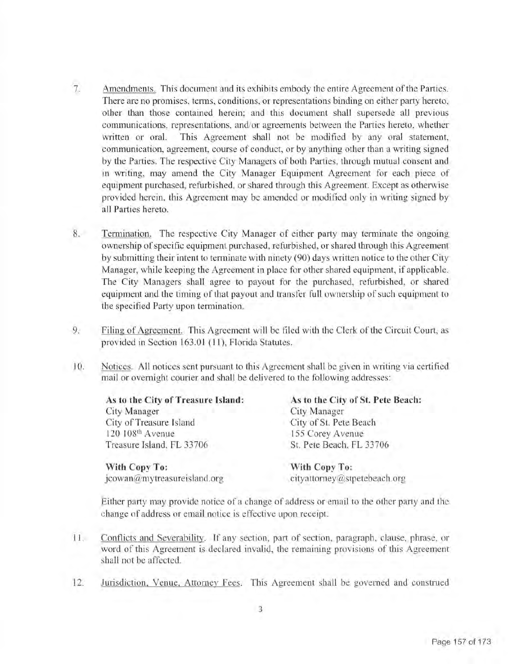- 7. Amendments. This document and its exhibits embody the entire Agreement of the Parties. There are no promises, terms, conditions, or representations binding on either party hereto, other than those contained herein; and this document shall supersede all previous communications, representations, and/or agreements between the Parties hereto, whether written or oral. This Agreement shall not be modified by any oral statement, communication, agreement, course of conduct, or by anything other than a writing signed by the Parties. The respective City Managers of both Parties, through mutual consent and in writing, may amend the City Manager Equipment Agreement for each piece of equipment purchased, refurbished, or shared through this Agreement. Except as otherwise provided herein, this Agreement may be amended or modified only in writing signed by all Parties hereto.
- 8. Termination. The respective City Manager of either party may terminate the ongoing ownership of specific equipment purchased, refurbished, or shared through this Agreement by submitting their intent to terminate with ninety (90) days written notice to the other City Manager, while keeping the Agreement in place for other shared equipment, if applicable. The City Managers shall agree to payout for the purchased, refurbished, or shared equipment and the timing of that payout and transfer full ownership of such equipment to the specified Party upon termination.
- 9. Filing of Agreement. This Agreement will be filed with the Clerk of the Circuit Court, as provided in Section 163 .01 **(11),** Florida Statutes.
- I0. Notices. All notices sent pursuant to this Agreement shall be given in writing via certified mail or overnight courier and shall be delivered to the following addresses:

| As to the City of Treasure Island: | As to the City of St. Pete Beach: |
|------------------------------------|-----------------------------------|
| City Manager                       | City Manager                      |
| City of Treasure Island            | City of St. Pete Beach            |
| 120 108th Avenue                   | 155 Corey Avenue                  |
| Treasure Island, FL 33706          | St. Pete Beach, FL 33706          |
| With Copy To:                      | With Copy To:                     |

[jcowan@mytreasureisland.org](mailto:jcowan@mytreasureisland.org) [cityattorney@stpetebeach.org](mailto:cityattorney@stpetebeach.org)

Either party may provide notice of a change of address or email to the other party and the change of address or email notice is effective upon receipt.

- 11. Conflicts and Severability. lf any section, part of section, paragraph, clause, phrase, or word of this Agreement is declared invalid, the remaining provisions of this Agreement shall not be affected.
- 12. Jurisdiction, Venue, Attorney Fees. This Agreement shall be governed and construed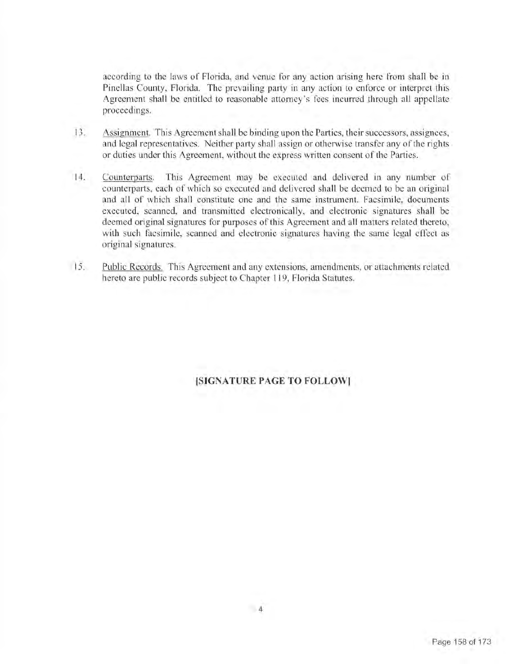according to the laws of Florida, and venue for any action arising here from shall be in Pinellas County, Florida. The prevailing party in any action to enforce or interpret this Agreement shall be entitled to reasonable attorney's fees incurred through all appellate proceedings.

- 13. Assignment. This Agreement shall be binding upon the Parties, their successors, assignees, and legal representatives. Neither party shall assign or otherwise transfer any of the rights or duties under this Agreement, without the express written consent of the Parties.
- 14. Counterparts. This Agreement may be executed and delivered in any number of counterparts, each of which so executed and delivered shall be deemed to be an original and all of which shall constitute one and the same instrument. Facsimile, documents executed, scanned, and transmitted electronically, and electronic signatures shall be deemed original signatures for purposes of this Agreement and all matters related thereto, with such facsimile, scanned and electronic signatures having the same legal effect as original signatures.
- 15. Public Records. This Agreement and any extensions, amendments, or attachments related hereto are public records subject to Chapter 119, Florida Statutes.

# **[SIGNATURE PAGE TO FOLLOW)**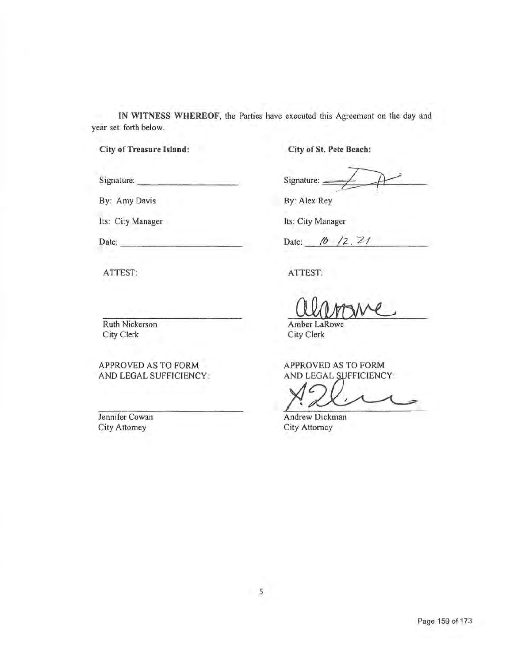**IN WITNESS WHEREOF,** the Parties have executed this Agreement on the day and year set forth below.

**City of Treasure Island:** 

Signature:

Date:

ATTEST:

By: Amy Davis

Its: City Manager

---------

-----------

**City of St. Pete Beach:** 

-- Signature:  $\frac{4}{5}$ *I* 

By: Alex Rey

Its: City Manager

Date: *16* 12, 21

ATTEST:

Pate: (0 /2.21<br>ATTEST:<br>Amber LaRowe<br>City Clerk

City Clerk

APPROVED AS TO FORM AND LEGAL SUFFICIENCY:

 $X^c$ 

Andrew Dickman City Attorney

Ruth Nickerson City Clerk

APPROVED AS TO FORM AND LEGAL SUFFICIENCY:

Jennifer Cowan City Attorney

Page 159 of 173